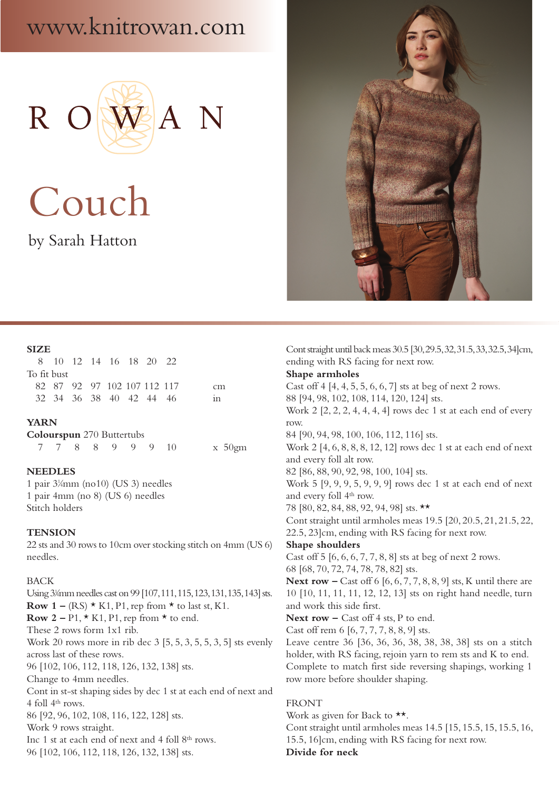# www.knitrowan.com



Couch

by Sarah Hatton



## **SIZE**

|             |  | 8 10 12 14 16 18 20 22      |  |    |  |
|-------------|--|-----------------------------|--|----|--|
| To fit bust |  |                             |  |    |  |
|             |  | 82 87 92 97 102 107 112 117 |  | cm |  |
|             |  | 32 34 36 38 40 42 44 46     |  | in |  |
|             |  |                             |  |    |  |

## **YARN**

**Colourspun** 270 Buttertubs 7 7 8 8 9 9 9 10 x 50gm

## **NEEDLES**

1 pair 31 ⁄4mm (no10) (US 3) needles 1 pair 4mm (no 8) (US 6) needles Stitch holders

#### **TENSION**

22 sts and 30 rows to 10cm over stocking stitch on 4mm (US 6) needles.

## BACK

Using 3¼mm needles cast on 99 [107, 111, 115, 123, 131, 135, 143] sts. **Row 1** – (RS)  $\star$  K1, P1, rep from  $\star$  to last st, K1. **Row 2** – P1,  $\star$  K1, P1, rep from  $\star$  to end. These 2 rows form 1x1 rib. Work 20 rows more in rib dec 3 [5, 5, 3, 5, 5, 3, 5] sts evenly across last of these rows. 96 [102, 106, 112, 118, 126, 132, 138] sts. Change to 4mm needles. Cont in st-st shaping sides by dec 1 st at each end of next and 4 foll 4th rows. 86 [92, 96, 102, 108, 116, 122, 128] sts. Work 9 rows straight. Inc 1 st at each end of next and 4 foll 8<sup>th</sup> rows. 96 [102, 106, 112, 118, 126, 132, 138] sts.

Cont straight until back meas 30.5 [30, 29.5, 32, 31.5, 33, 32.5, 34]cm, ending with RS facing for next row. **Shape armholes** Cast off 4 [4, 4, 5, 5, 6, 6, 7] sts at beg of next 2 rows. 88 [94, 98, 102, 108, 114, 120, 124] sts. Work 2 [2, 2, 2, 4, 4, 4, 4] rows dec 1 st at each end of every row. 84 [90, 94, 98, 100, 106, 112, 116] sts. Work 2 [4, 6, 8, 8, 8, 12, 12] rows dec 1 st at each end of next and every foll alt row. 82 [86, 88, 90, 92, 98, 100, 104] sts. Work 5 [9, 9, 9, 5, 9, 9, 9] rows dec 1 st at each end of next and every foll 4<sup>th</sup> row. 78 [80, 82, 84, 88, 92, 94, 98] sts. \*\* Cont straight until armholes meas 19.5 [20, 20.5, 21, 21.5, 22, 22.5, 23]cm, ending with RS facing for next row. **Shape shoulders** Cast off 5 [6, 6, 6, 7, 7, 8, 8] sts at beg of next 2 rows. 68 [68, 70, 72, 74, 78, 78, 82] sts. **Next row –** Cast off 6 [6, 6, 7, 7, 8, 8, 9] sts, K until there are 10 [10, 11, 11, 11, 12, 12, 13] sts on right hand needle, turn and work this side first. Next row – Cast off 4 sts, P to end. Cast off rem 6 [6, 7, 7, 7, 8, 8, 9] sts. Leave centre 36 [36, 36, 36, 38, 38, 38, 38] sts on a stitch holder, with RS facing, rejoin yarn to rem sts and K to end. Complete to match first side reversing shapings, working 1 row more before shoulder shaping. FRONT Work as given for Back to  $**$ . Cont straight until armholes meas 14.5 [15, 15.5, 15, 15.5, 16, 15.5, 16]cm, ending with RS facing for next row.

#### **Divide for neck**